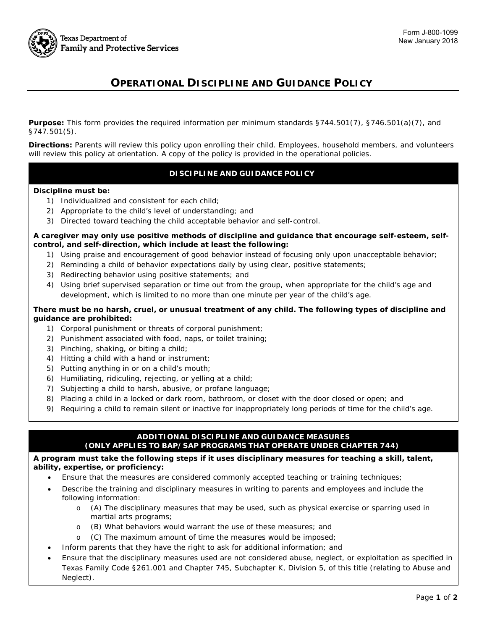

# **OPERATIONAL DISCIPLINE AND GUIDANCE POLICY**

**Purpose:** This form provides the required information per minimum standards §744.501(7), §746.501(a)(7), and §747.501(5).

**Directions:** Parents will review this policy upon enrolling their child. Employees, household members, and volunteers will review this policy at orientation. A copy of the policy is provided in the operational policies.

## **DISCIPLINE AND GUIDANCE POLICY**

#### **Discipline must be:**

- 1) Individualized and consistent for each child;
- 2) Appropriate to the child's level of understanding; and
- 3) Directed toward teaching the child acceptable behavior and self-control.

#### **A caregiver may only use positive methods of discipline and guidance that encourage self-esteem, selfcontrol, and self-direction, which include at least the following:**

- 1) Using praise and encouragement of good behavior instead of focusing only upon unacceptable behavior;
- 2) Reminding a child of behavior expectations daily by using clear, positive statements;
- 3) Redirecting behavior using positive statements; and
- 4) Using brief supervised separation or time out from the group, when appropriate for the child's age and development, which is limited to no more than one minute per year of the child's age.

#### **There must be no harsh, cruel, or unusual treatment of any child. The following types of discipline and guidance are prohibited:**

- 1) Corporal punishment or threats of corporal punishment;
- 2) Punishment associated with food, naps, or toilet training;
- 3) Pinching, shaking, or biting a child;
- 4) Hitting a child with a hand or instrument;
- 5) Putting anything in or on a child's mouth;
- 6) Humiliating, ridiculing, rejecting, or yelling at a child;
- 7) Subjecting a child to harsh, abusive, or profane language;
- 8) Placing a child in a locked or dark room, bathroom, or closet with the door closed or open; and
- 9) Requiring a child to remain silent or inactive for inappropriately long periods of time for the child's age.

### **ADDITIONAL DISCIPLINE AND GUIDANCE MEASURES (ONLY APPLIES TO BAP/SAP PROGRAMS THAT OPERATE UNDER CHAPTER 744)**

#### **A program must take the following steps if it uses disciplinary measures for teaching a skill, talent, ability, expertise, or proficiency:**

- Ensure that the measures are considered commonly accepted teaching or training techniques;
- Describe the training and disciplinary measures in writing to parents and employees and include the following information:
	- o (A) The disciplinary measures that may be used, such as physical exercise or sparring used in martial arts programs;
	- o (B) What behaviors would warrant the use of these measures; and
	- o (C) The maximum amount of time the measures would be imposed;
	- Inform parents that they have the right to ask for additional information; and
- Ensure that the disciplinary measures used are not considered abuse, neglect, or exploitation as specified in Texas Family Code §261.001 and Chapter 745, Subchapter K, Division 5, of this title (relating to Abuse and Neglect).